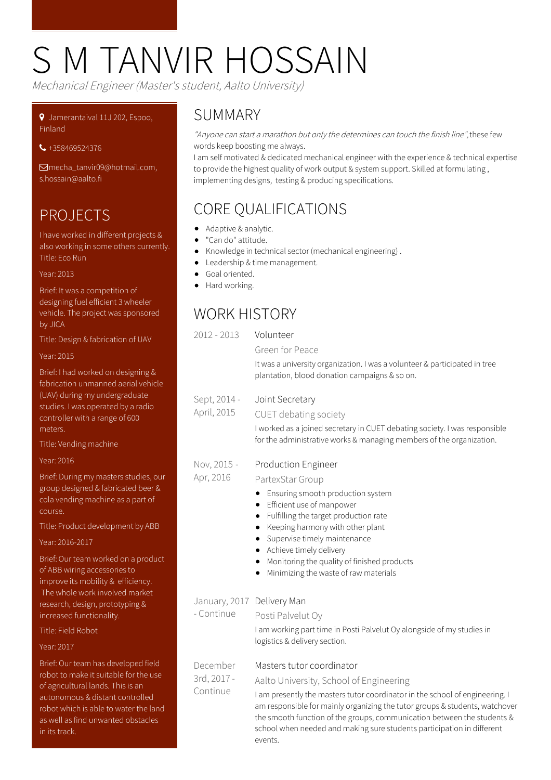# S M TANVIR HOSSAIN

Mechanical Engineer (Master's student, Aalto University)

#### Jamerantaival 11J 202, Espoo, **Finland**

+358469524376

[mecha\\_tanvir09@hotmail.com,](mailto:mecha_tanvir09@hotmail.com, s.hossain@aalto.fi) s.hossain@aalto.fi

## PROJECTS

I have worked in different projects & also working in some others currently. Title: Eco Run

#### Year: 2013

Brief: It was a competition of designing fuel efficient 3 wheeler vehicle. The project was sponsored by JICA

Title: Design & fabrication of UAV

#### Year: 2015

Brief: I had worked on designing & fabrication unmanned aerial vehicle (UAV) during my undergraduate studies. I was operated by a radio controller with a range of 600 meters.

Title: Vending machine

#### Year: 2016

Brief: During my masters studies, our group designed & fabricated beer & cola vending machine as a part of course.

Title: Product development by ABB

Year: 2016-2017

Brief: Our team worked on a product of ABB wiring accessories to improve its mobility & efficiency. The whole work involved market research, design, prototyping & increased functionality. Title: Field Robot

Year: 2017

Brief: Our team has developed field robot to make it suitable for the use of agricultural lands. This is an autonomous & distant controlled robot which is able to water the land as well as find unwanted obstacles in its track.

#### **SUMMARY**

"Anyone can start a marathon but only the determines can touch the finish line", these few words keep boosting me always.

I am self motivated & dedicated mechanical engineer with the experience & technical expertise to provide the highest quality of work output & system support. Skilled at formulating , implementing designs, testing & producing specifications.

# CORE QUALIFICATIONS

- Adaptive & analytic.
- $\bullet$ "Can do" attitude.
- Knowledge in technical sector (mechanical engineering) .  $\bullet$
- Leadership & time management.
- Goal oriented.
- Hard working.

## WORK HISTORY

| $2012 - 2013$                            | Volunteer<br>Green for Peace<br>It was a university organization. I was a volunteer & participated in tree<br>plantation, blood donation campaigns & so on.                                                                                                                                                                                                                                         |
|------------------------------------------|-----------------------------------------------------------------------------------------------------------------------------------------------------------------------------------------------------------------------------------------------------------------------------------------------------------------------------------------------------------------------------------------------------|
| Sept, 2014 -<br>April, 2015              | Joint Secretary<br>CUET debating society<br>I worked as a joined secretary in CUET debating society. I was responsible<br>for the administrative works & managing members of the organization.                                                                                                                                                                                                      |
| Nov, 2015 -<br>Apr, 2016                 | <b>Production Engineer</b><br>PartexStar Group<br>Ensuring smooth production system<br>٠<br>Efficient use of manpower<br>٠<br>Fulfilling the target production rate<br>٠<br>Keeping harmony with other plant<br>٠<br>Supervise timely maintenance<br>٠<br>Achieve timely delivery<br>Monitoring the quality of finished products<br>Minimizing the waste of raw materials                           |
| January, 2017 Delivery Man<br>- Continue | Posti Palvelut Oy<br>I am working part time in Posti Palvelut Oy alongside of my studies in<br>logistics & delivery section.                                                                                                                                                                                                                                                                        |
| December<br>3rd, 2017 -<br>Continue      | Masters tutor coordinator<br>Aalto University, School of Engineering<br>I am presently the masters tutor coordinator in the school of engineering. I<br>am responsible for mainly organizing the tutor groups & students, watchover<br>the smooth function of the groups, communication between the students &<br>school when needed and making sure students participation in different<br>events. |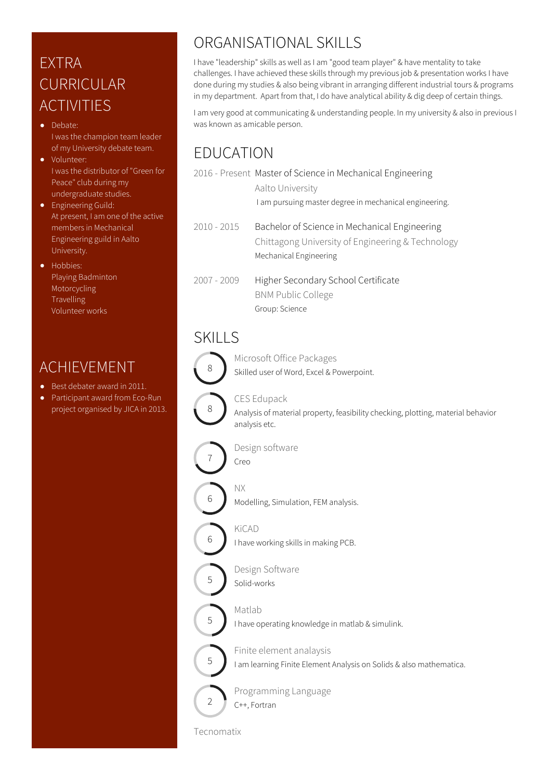# EXTRA **CURRICULAR** ACTIVITIES

- Debate: I was the champion team leader of my University debate team.
- Volunteer: I was the distributor of "Green for Peace" club during my undergraduate studies.
- **•** Engineering Guild: At present, I am one of the active members in Mechanical Engineering guild in Aalto University.
- Hobbies: Playing Badminton Motorcycling Travelling Volunteer works

#### ACHIEVEMENT

- Best debater award in 2011.
- Participant award from Eco-Run project organised by JICA in 2013.

## ORGANISATIONAL SKILLS

I have "leadership" skills as well as I am "good team player" & have mentality to take challenges. I have achieved these skills through my previous job & presentation works I have done during my studies & also being vibrant in arranging different industrial tours & programs in my department. Apart from that, I do have analytical ability & dig deep of certain things.

I am very good at communicating & understanding people. In my university & also in previous I was known as amicable person.

# EDUCATION

|               | 2016 - Present Master of Science in Mechanical Engineering<br>Aalto University                                               |
|---------------|------------------------------------------------------------------------------------------------------------------------------|
|               | I am pursuing master degree in mechanical engineering.                                                                       |
| $2010 - 2015$ | Bachelor of Science in Mechanical Engineering<br>Chittagong University of Engineering & Technology<br>Mechanical Engineering |
| $2007 - 2009$ | Higher Secondary School Certificate<br><b>BNM Public College</b><br>Group: Science                                           |

#### SKILLS



Microsoft Office Packages Skilled user of Word, Excel & Powerpoint.



CES Edupack

Analysis of material property, feasibility checking, plotting, material behavior analysis etc.



Design software



Modelling, Simulation, FEM analysis.



5

5

5

 $\overline{\phantom{0}}$ 

KiCAD I have working skills in making PCB.

- Design Software Solid-works
- Matlab

I have operating knowledge in matlab & simulink.

Finite element analaysis I am learning Finite Element Analysis on Solids & also mathematica.



Tecnomatix